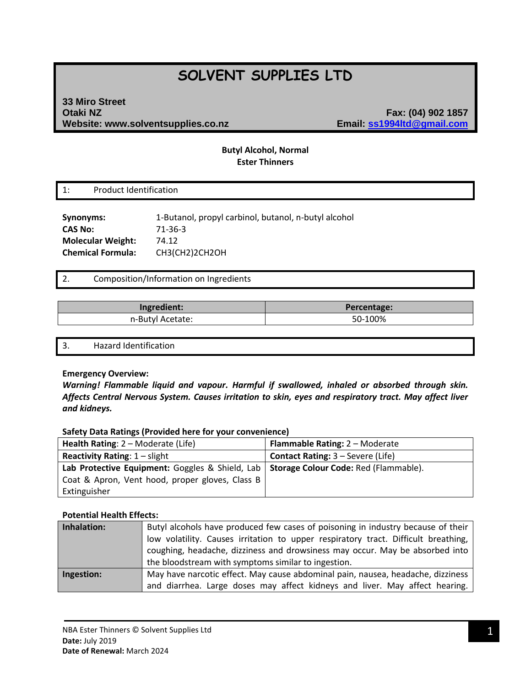# **SOLVENT SUPPLIES LTD**

## **33 Miro Street Otaki NZ Fax: (04) 902 1857 Website: www.solventsupplies.co.nz Email: ss1994ltd@gmail.com**

## **Butyl Alcohol, Normal Ester Thinners**

1: Product Identification

**Synonyms:** 1-Butanol, propyl carbinol, butanol, n-butyl alcohol **CAS No:** 71-36-3 **Molecular Weight:** 74.12 **Chemical Formula:** CH3(CH2)2CH2OH

## 2. Composition/Information on Ingredients

| Ingredient:      | Percentage: |
|------------------|-------------|
| n-Butyl Acetate: | 50-100%     |

3. Hazard Identification

#### **Emergency Overview:**

*Warning! Flammable liquid and vapour. Harmful if swallowed, inhaled or absorbed through skin. Affects Central Nervous System. Causes irritation to skin, eyes and respiratory tract. May affect liver and kidneys.*

#### **Safety Data Ratings (Provided here for your convenience)**

| <b>Health Rating: 2 – Moderate (Life)</b>                                               | <b>Flammable Rating: 2 - Moderate</b>    |
|-----------------------------------------------------------------------------------------|------------------------------------------|
| <b>Reactivity Rating: 1 – slight</b>                                                    | <b>Contact Rating: 3 – Severe (Life)</b> |
| Lab Protective Equipment: Goggles & Shield, Lab   Storage Colour Code: Red (Flammable). |                                          |
| Coat & Apron, Vent hood, proper gloves, Class B                                         |                                          |
| Extinguisher                                                                            |                                          |

#### **Potential Health Effects:**

| Inhalation: | Butyl alcohols have produced few cases of poisoning in industry because of their<br>low volatility. Causes irritation to upper respiratory tract. Difficult breathing,<br>coughing, headache, dizziness and drowsiness may occur. May be absorbed into<br>the bloodstream with symptoms similar to ingestion. |
|-------------|---------------------------------------------------------------------------------------------------------------------------------------------------------------------------------------------------------------------------------------------------------------------------------------------------------------|
| Ingestion:  | May have narcotic effect. May cause abdominal pain, nausea, headache, dizziness<br>and diarrhea. Large doses may affect kidneys and liver. May affect hearing.                                                                                                                                                |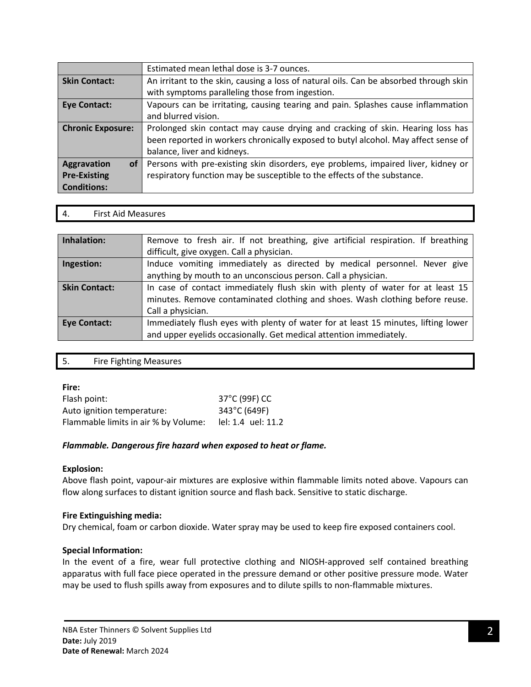|                          | Estimated mean lethal dose is 3-7 ounces.                                              |
|--------------------------|----------------------------------------------------------------------------------------|
| <b>Skin Contact:</b>     | An irritant to the skin, causing a loss of natural oils. Can be absorbed through skin  |
|                          | with symptoms paralleling those from ingestion.                                        |
| <b>Eye Contact:</b>      | Vapours can be irritating, causing tearing and pain. Splashes cause inflammation       |
|                          | and blurred vision.                                                                    |
| <b>Chronic Exposure:</b> | Prolonged skin contact may cause drying and cracking of skin. Hearing loss has         |
|                          | been reported in workers chronically exposed to butyl alcohol. May affect sense of     |
|                          | balance, liver and kidneys.                                                            |
| <b>Aggravation</b>       | of   Persons with pre-existing skin disorders, eye problems, impaired liver, kidney or |
| <b>Pre-Existing</b>      | respiratory function may be susceptible to the effects of the substance.               |
| <b>Conditions:</b>       |                                                                                        |

4. First Aid Measures

| Inhalation:          | Remove to fresh air. If not breathing, give artificial respiration. If breathing<br>difficult, give oxygen. Call a physician.                                                       |
|----------------------|-------------------------------------------------------------------------------------------------------------------------------------------------------------------------------------|
| Ingestion:           | Induce vomiting immediately as directed by medical personnel. Never give<br>anything by mouth to an unconscious person. Call a physician.                                           |
| <b>Skin Contact:</b> | In case of contact immediately flush skin with plenty of water for at least 15<br>minutes. Remove contaminated clothing and shoes. Wash clothing before reuse.<br>Call a physician. |
| <b>Eye Contact:</b>  | Immediately flush eyes with plenty of water for at least 15 minutes, lifting lower<br>and upper eyelids occasionally. Get medical attention immediately.                            |

| <b>Fire Fighting Measures</b><br>- 5. |  |
|---------------------------------------|--|
|---------------------------------------|--|

#### **Fire:**

| Flash point:                         | 37°C (99F) CC                       |
|--------------------------------------|-------------------------------------|
| Auto ignition temperature:           | 343°C (649F)                        |
| Flammable limits in air % by Volume: | $\text{lel}: 1.4 \text{ uel}: 11.2$ |

## *Flammable. Dangerous fire hazard when exposed to heat or flame.*

#### **Explosion:**

Above flash point, vapour-air mixtures are explosive within flammable limits noted above. Vapours can flow along surfaces to distant ignition source and flash back. Sensitive to static discharge.

#### **Fire Extinguishing media:**

Dry chemical, foam or carbon dioxide. Water spray may be used to keep fire exposed containers cool.

## **Special Information:**

In the event of a fire, wear full protective clothing and NIOSH-approved self contained breathing apparatus with full face piece operated in the pressure demand or other positive pressure mode. Water may be used to flush spills away from exposures and to dilute spills to non-flammable mixtures.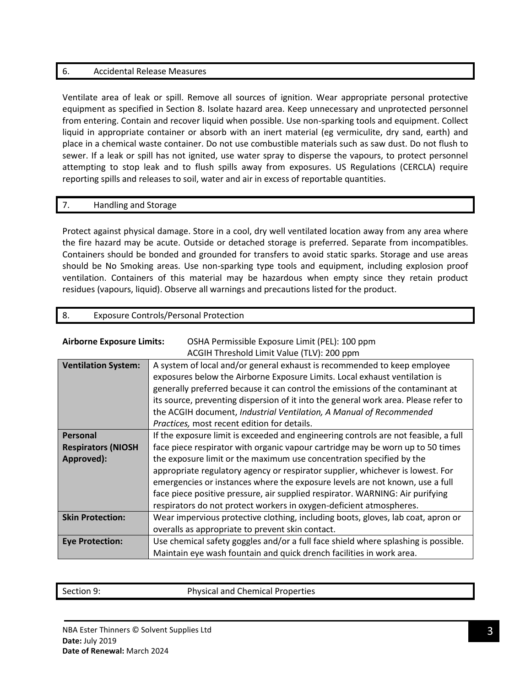## 6. Accidental Release Measures

Ventilate area of leak or spill. Remove all sources of ignition. Wear appropriate personal protective equipment as specified in Section 8. Isolate hazard area. Keep unnecessary and unprotected personnel from entering. Contain and recover liquid when possible. Use non-sparking tools and equipment. Collect liquid in appropriate container or absorb with an inert material (eg vermiculite, dry sand, earth) and place in a chemical waste container. Do not use combustible materials such as saw dust. Do not flush to sewer. If a leak or spill has not ignited, use water spray to disperse the vapours, to protect personnel attempting to stop leak and to flush spills away from exposures. US Regulations (CERCLA) require reporting spills and releases to soil, water and air in excess of reportable quantities.

## 7. Handling and Storage

Protect against physical damage. Store in a cool, dry well ventilated location away from any area where the fire hazard may be acute. Outside or detached storage is preferred. Separate from incompatibles. Containers should be bonded and grounded for transfers to avoid static sparks. Storage and use areas should be No Smoking areas. Use non-sparking type tools and equipment, including explosion proof ventilation. Containers of this material may be hazardous when empty since they retain product residues (vapours, liquid). Observe all warnings and precautions listed for the product.

## 8. Exposure Controls/Personal Protection

| <b>Airborne Exposure Limits:</b> | OSHA Permissible Exposure Limit (PEL): 100 ppm                                      |  |  |
|----------------------------------|-------------------------------------------------------------------------------------|--|--|
|                                  | ACGIH Threshold Limit Value (TLV): 200 ppm                                          |  |  |
| <b>Ventilation System:</b>       | A system of local and/or general exhaust is recommended to keep employee            |  |  |
|                                  | exposures below the Airborne Exposure Limits. Local exhaust ventilation is          |  |  |
|                                  | generally preferred because it can control the emissions of the contaminant at      |  |  |
|                                  | its source, preventing dispersion of it into the general work area. Please refer to |  |  |
|                                  | the ACGIH document, Industrial Ventilation, A Manual of Recommended                 |  |  |
|                                  | Practices, most recent edition for details.                                         |  |  |
| Personal                         | If the exposure limit is exceeded and engineering controls are not feasible, a full |  |  |
| <b>Respirators (NIOSH</b>        | face piece respirator with organic vapour cartridge may be worn up to 50 times      |  |  |
| Approved):                       | the exposure limit or the maximum use concentration specified by the                |  |  |
|                                  | appropriate regulatory agency or respirator supplier, whichever is lowest. For      |  |  |
|                                  | emergencies or instances where the exposure levels are not known, use a full        |  |  |
|                                  | face piece positive pressure, air supplied respirator. WARNING: Air purifying       |  |  |
|                                  | respirators do not protect workers in oxygen-deficient atmospheres.                 |  |  |
| <b>Skin Protection:</b>          | Wear impervious protective clothing, including boots, gloves, lab coat, apron or    |  |  |
|                                  | overalls as appropriate to prevent skin contact.                                    |  |  |
| <b>Eye Protection:</b>           | Use chemical safety goggles and/or a full face shield where splashing is possible.  |  |  |
|                                  | Maintain eye wash fountain and quick drench facilities in work area.                |  |  |

Section 9: Physical and Chemical Properties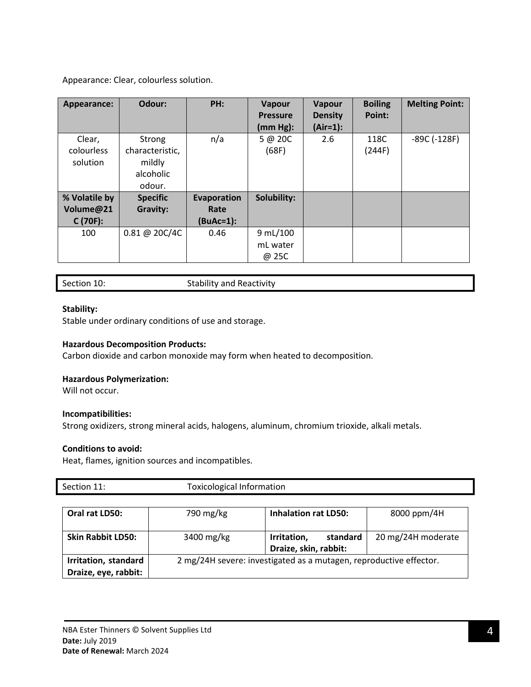Appearance: Clear, colourless solution.

| Appearance:   | Odour:          | PH:         | <b>Vapour</b><br><b>Pressure</b> | Vapour<br><b>Density</b> | <b>Boiling</b><br>Point: | <b>Melting Point:</b> |
|---------------|-----------------|-------------|----------------------------------|--------------------------|--------------------------|-----------------------|
|               |                 |             | (mm Hg):                         | $(Air=1):$               |                          |                       |
| Clear,        | Strong          | n/a         | 5@20C                            | 2.6                      | 118C                     | $-89C(-128F)$         |
| colourless    | characteristic, |             | (68F)                            |                          | (244F)                   |                       |
| solution      | mildly          |             |                                  |                          |                          |                       |
|               | alcoholic       |             |                                  |                          |                          |                       |
|               | odour.          |             |                                  |                          |                          |                       |
| % Volatile by | <b>Specific</b> | Evaporation | Solubility:                      |                          |                          |                       |
| Volume@21     | <b>Gravity:</b> | Rate        |                                  |                          |                          |                       |
| $C(70F)$ :    |                 | $(BuAc=1):$ |                                  |                          |                          |                       |
| 100           | 0.81 @ 20C/4C   | 0.46        | 9 mL/100                         |                          |                          |                       |
|               |                 |             | mL water                         |                          |                          |                       |
|               |                 |             | @ 25C                            |                          |                          |                       |

Section 10: Stability and Reactivity

## **Stability:**

Stable under ordinary conditions of use and storage.

#### **Hazardous Decomposition Products:**

Carbon dioxide and carbon monoxide may form when heated to decomposition.

#### **Hazardous Polymerization:**

Will not occur.

#### **Incompatibilities:**

Strong oxidizers, strong mineral acids, halogens, aluminum, chromium trioxide, alkali metals.

#### **Conditions to avoid:**

Heat, flames, ignition sources and incompatibles.

| Section 11:              | <b>Toxicological Information</b> |                                                                    |                    |
|--------------------------|----------------------------------|--------------------------------------------------------------------|--------------------|
|                          |                                  |                                                                    |                    |
| Oral rat LD50:           | 790 mg/kg                        | <b>Inhalation rat LD50:</b>                                        | 8000 ppm/4H        |
|                          |                                  |                                                                    |                    |
| <b>Skin Rabbit LD50:</b> | 3400 mg/kg                       | standard<br>Irritation,                                            | 20 mg/24H moderate |
|                          |                                  | Draize, skin, rabbit:                                              |                    |
| Irritation, standard     |                                  | 2 mg/24H severe: investigated as a mutagen, reproductive effector. |                    |
| Draize, eye, rabbit:     |                                  |                                                                    |                    |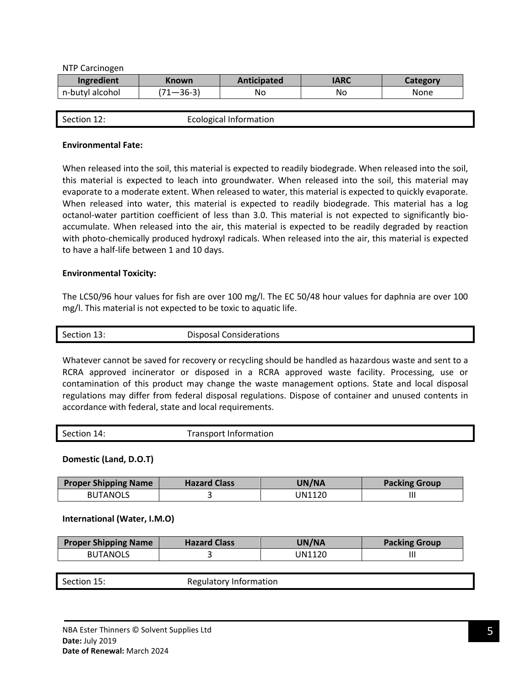NTP Carcinogen

| Ingredient      | Known        | <b>Anticipated</b> | <b>IARC</b> | Lategory |
|-----------------|--------------|--------------------|-------------|----------|
| n-butyl alcohol | 20.21<br>36∹ | No                 | No          | None     |

|             | <b>Ecological Information</b> |
|-------------|-------------------------------|
| Section 12: |                               |
|             |                               |
|             |                               |

#### **Environmental Fate:**

When released into the soil, this material is expected to readily biodegrade. When released into the soil, this material is expected to leach into groundwater. When released into the soil, this material may evaporate to a moderate extent. When released to water, this material is expected to quickly evaporate. When released into water, this material is expected to readily biodegrade. This material has a log octanol-water partition coefficient of less than 3.0. This material is not expected to significantly bioaccumulate. When released into the air, this material is expected to be readily degraded by reaction with photo-chemically produced hydroxyl radicals. When released into the air, this material is expected to have a half-life between 1 and 10 days.

#### **Environmental Toxicity:**

The LC50/96 hour values for fish are over 100 mg/l. The EC 50/48 hour values for daphnia are over 100 mg/l. This material is not expected to be toxic to aquatic life.

| Section 13: | <b>Disposal Considerations</b> |
|-------------|--------------------------------|
|             |                                |

Whatever cannot be saved for recovery or recycling should be handled as hazardous waste and sent to a RCRA approved incinerator or disposed in a RCRA approved waste facility. Processing, use or contamination of this product may change the waste management options. State and local disposal regulations may differ from federal disposal regulations. Dispose of container and unused contents in accordance with federal, state and local requirements.

| Section 14: | Transport Information |
|-------------|-----------------------|
|-------------|-----------------------|

**Domestic (Land, D.O.T)**

| <b>Proper Shipping Name</b> | <b>Hazard Class</b> | UN/NA  | <b>Packing Group</b> |
|-----------------------------|---------------------|--------|----------------------|
| <b>BUTANOLS</b>             |                     | JN1120 |                      |

#### **International (Water, I.M.O)**

| <b>Proper Shipping Name</b> | <b>Hazard Class</b> | UN/NA  | <b>Packing Group</b> |
|-----------------------------|---------------------|--------|----------------------|
| <b>BUTANOLS</b>             |                     | JN1120 | Ш                    |

Section 15: Regulatory Information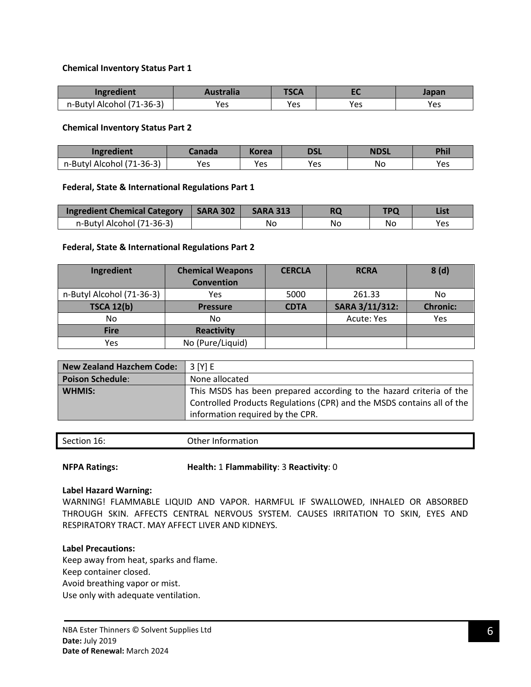## **Chemical Inventory Status Part 1**

| Ingredient                | <b>\ustralia</b> | IJLA |     | Japan |
|---------------------------|------------------|------|-----|-------|
| n-Butyl Alcohol (71-36-3) | Yes              | Yes  | Yes | Yes   |

#### **Chemical Inventory Status Part 2**

| Ingredient                            | anada | Korea | <b>DSL</b> | <b>NDSL</b> | Phil |
|---------------------------------------|-------|-------|------------|-------------|------|
| $(71-36-3)$<br>n-Butyl.<br>Alcohol (7 | Yes   | Yes   | Yes        | Νo          | Yes  |

#### **Federal, State & International Regulations Part 1**

| Ingredient Chemical Category | <b>SARA 302</b> | <b>SARA 313</b> |    | TDC | List |
|------------------------------|-----------------|-----------------|----|-----|------|
| n-Butyl Alcohol (71-36-3)    |                 | Nc              | No | No  | Yes  |

#### **Federal, State & International Regulations Part 2**

| Ingredient                | <b>Chemical Weapons</b><br><b>Convention</b> | <b>CERCLA</b> | <b>RCRA</b>    | 8(d)            |
|---------------------------|----------------------------------------------|---------------|----------------|-----------------|
| n-Butyl Alcohol (71-36-3) | Yes                                          | 5000          | 261.33         | No              |
| <b>TSCA 12(b)</b>         | <b>Pressure</b>                              | <b>CDTA</b>   | SARA 3/11/312: | <b>Chronic:</b> |
| No.                       | No                                           |               | Acute: Yes     | Yes             |
| <b>Fire</b>               | <b>Reactivity</b>                            |               |                |                 |
| Yes                       | No (Pure/Liquid)                             |               |                |                 |

| <b>New Zealand Hazchem Code:</b> | 3 [Y] E                                                                                                                                                                           |
|----------------------------------|-----------------------------------------------------------------------------------------------------------------------------------------------------------------------------------|
| <b>Poison Schedule:</b>          | None allocated                                                                                                                                                                    |
| <b>WHMIS:</b>                    | This MSDS has been prepared according to the hazard criteria of the<br>Controlled Products Regulations (CPR) and the MSDS contains all of the<br>information required by the CPR. |

| Section<br>ำา 16: | Other Information |
|-------------------|-------------------|

**NFPA Ratings: Health:** 1 **Flammability**: 3 **Reactivity**: 0

#### **Label Hazard Warning:**

WARNING! FLAMMABLE LIQUID AND VAPOR. HARMFUL IF SWALLOWED, INHALED OR ABSORBED THROUGH SKIN. AFFECTS CENTRAL NERVOUS SYSTEM. CAUSES IRRITATION TO SKIN, EYES AND RESPIRATORY TRACT. MAY AFFECT LIVER AND KIDNEYS.

#### **Label Precautions:**

Keep away from heat, sparks and flame. Keep container closed. Avoid breathing vapor or mist. Use only with adequate ventilation.